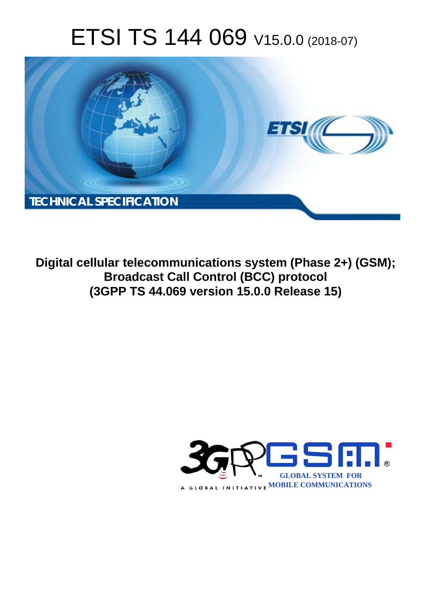# ETSI TS 144 069 V15.0.0 (2018-07)



**Digital cellular telecommunications system (Phase 2+) (GSM); Broadcast Call Control (BCC) protocol (3GPP TS 44.069 version 15.0.0 Release 15)** 

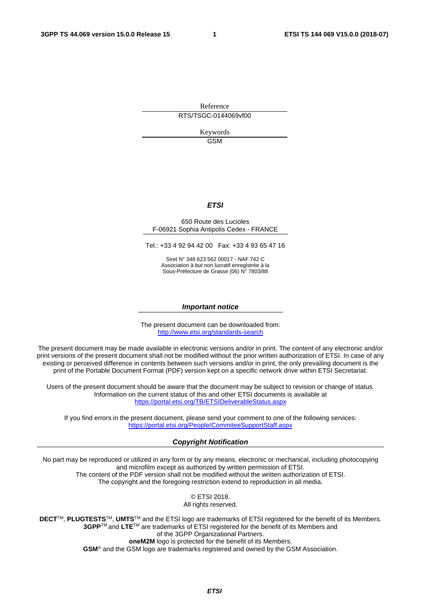Reference RTS/TSGC-0144069vf00

> Keywords GSM

#### *ETSI*

#### 650 Route des Lucioles F-06921 Sophia Antipolis Cedex - FRANCE

Tel.: +33 4 92 94 42 00 Fax: +33 4 93 65 47 16

Siret N° 348 623 562 00017 - NAF 742 C Association à but non lucratif enregistrée à la Sous-Préfecture de Grasse (06) N° 7803/88

#### *Important notice*

The present document can be downloaded from: <http://www.etsi.org/standards-search>

The present document may be made available in electronic versions and/or in print. The content of any electronic and/or print versions of the present document shall not be modified without the prior written authorization of ETSI. In case of any existing or perceived difference in contents between such versions and/or in print, the only prevailing document is the print of the Portable Document Format (PDF) version kept on a specific network drive within ETSI Secretariat.

Users of the present document should be aware that the document may be subject to revision or change of status. Information on the current status of this and other ETSI documents is available at <https://portal.etsi.org/TB/ETSIDeliverableStatus.aspx>

If you find errors in the present document, please send your comment to one of the following services: <https://portal.etsi.org/People/CommiteeSupportStaff.aspx>

#### *Copyright Notification*

No part may be reproduced or utilized in any form or by any means, electronic or mechanical, including photocopying and microfilm except as authorized by written permission of ETSI. The content of the PDF version shall not be modified without the written authorization of ETSI. The copyright and the foregoing restriction extend to reproduction in all media.

> © ETSI 2018. All rights reserved.

**DECT**TM, **PLUGTESTS**TM, **UMTS**TM and the ETSI logo are trademarks of ETSI registered for the benefit of its Members. **3GPP**TM and **LTE**TM are trademarks of ETSI registered for the benefit of its Members and of the 3GPP Organizational Partners. **oneM2M** logo is protected for the benefit of its Members.

**GSM**® and the GSM logo are trademarks registered and owned by the GSM Association.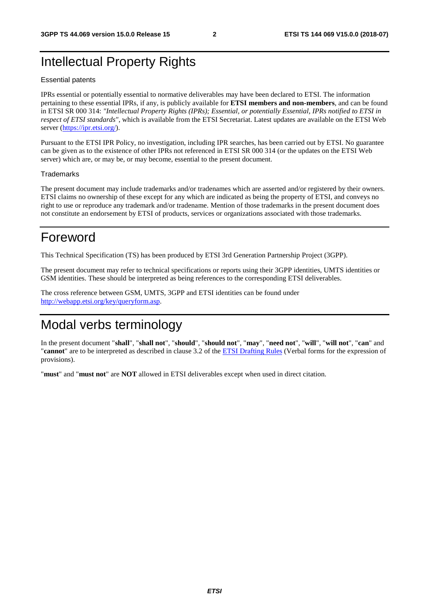### Intellectual Property Rights

#### Essential patents

IPRs essential or potentially essential to normative deliverables may have been declared to ETSI. The information pertaining to these essential IPRs, if any, is publicly available for **ETSI members and non-members**, and can be found in ETSI SR 000 314: *"Intellectual Property Rights (IPRs); Essential, or potentially Essential, IPRs notified to ETSI in respect of ETSI standards"*, which is available from the ETSI Secretariat. Latest updates are available on the ETSI Web server ([https://ipr.etsi.org/\)](https://ipr.etsi.org/).

Pursuant to the ETSI IPR Policy, no investigation, including IPR searches, has been carried out by ETSI. No guarantee can be given as to the existence of other IPRs not referenced in ETSI SR 000 314 (or the updates on the ETSI Web server) which are, or may be, or may become, essential to the present document.

#### **Trademarks**

The present document may include trademarks and/or tradenames which are asserted and/or registered by their owners. ETSI claims no ownership of these except for any which are indicated as being the property of ETSI, and conveys no right to use or reproduce any trademark and/or tradename. Mention of those trademarks in the present document does not constitute an endorsement by ETSI of products, services or organizations associated with those trademarks.

### Foreword

This Technical Specification (TS) has been produced by ETSI 3rd Generation Partnership Project (3GPP).

The present document may refer to technical specifications or reports using their 3GPP identities, UMTS identities or GSM identities. These should be interpreted as being references to the corresponding ETSI deliverables.

The cross reference between GSM, UMTS, 3GPP and ETSI identities can be found under [http://webapp.etsi.org/key/queryform.asp.](http://webapp.etsi.org/key/queryform.asp)

### Modal verbs terminology

In the present document "**shall**", "**shall not**", "**should**", "**should not**", "**may**", "**need not**", "**will**", "**will not**", "**can**" and "**cannot**" are to be interpreted as described in clause 3.2 of the [ETSI Drafting Rules](https://portal.etsi.org/Services/editHelp!/Howtostart/ETSIDraftingRules.aspx) (Verbal forms for the expression of provisions).

"**must**" and "**must not**" are **NOT** allowed in ETSI deliverables except when used in direct citation.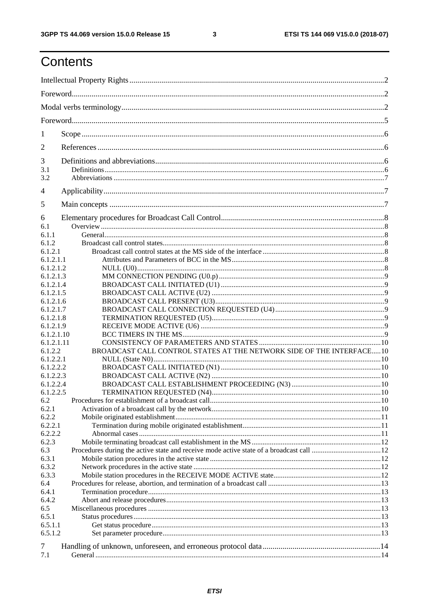ETSI TS 144 069 V15.0.0 (2018-07)

## Contents

| 1                |                                                                       |  |
|------------------|-----------------------------------------------------------------------|--|
| 2                |                                                                       |  |
| 3                |                                                                       |  |
| 3.1              |                                                                       |  |
| 3.2              |                                                                       |  |
| 4                |                                                                       |  |
| 5                |                                                                       |  |
| 6                |                                                                       |  |
| 6.1              |                                                                       |  |
| 6.1.1            |                                                                       |  |
| 6.1.2<br>6.1.2.1 |                                                                       |  |
| 6.1.2.1.1        |                                                                       |  |
| 6.1.2.1.2        |                                                                       |  |
| 6.1.2.1.3        |                                                                       |  |
| 6.1.2.1.4        |                                                                       |  |
| 6.1.2.1.5        |                                                                       |  |
| 6.1.2.1.6        |                                                                       |  |
| 6.1.2.1.7        |                                                                       |  |
| 6.1.2.1.8        |                                                                       |  |
| 6.1.2.1.9        |                                                                       |  |
| 6.1.2.1.10       |                                                                       |  |
| 6.1.2.1.11       |                                                                       |  |
| 6.1.2.2          | BROADCAST CALL CONTROL STATES AT THE NETWORK SIDE OF THE INTERFACE 10 |  |
| 6.1.2.2.1        |                                                                       |  |
| 6.1.2.2.2        |                                                                       |  |
| 6.1.2.2.3        |                                                                       |  |
| 6.1.2.2.4        |                                                                       |  |
| 6.1.2.2.5        |                                                                       |  |
| 6.2              |                                                                       |  |
| 6.2.1<br>6.2.2   |                                                                       |  |
| 6.2.2.1          |                                                                       |  |
| 6.2.2.2          |                                                                       |  |
| 6.2.3            |                                                                       |  |
| 6.3              |                                                                       |  |
| 6.3.1            |                                                                       |  |
| 6.3.2            |                                                                       |  |
| 6.3.3            |                                                                       |  |
| 6.4              |                                                                       |  |
| 6.4.1            |                                                                       |  |
| 6.4.2            |                                                                       |  |
| 6.5              |                                                                       |  |
| 6.5.1            |                                                                       |  |
| 6.5.1.1          |                                                                       |  |
| 6.5.1.2          |                                                                       |  |
| 7                |                                                                       |  |
| 7.1              |                                                                       |  |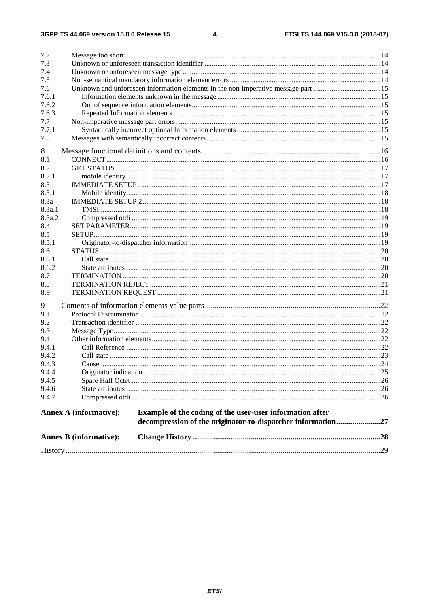#### $\overline{\mathbf{4}}$

| 7.2            |                               |                                                                                   |  |
|----------------|-------------------------------|-----------------------------------------------------------------------------------|--|
| 7.3            |                               |                                                                                   |  |
| 7.4            |                               |                                                                                   |  |
| 7.5            |                               |                                                                                   |  |
| 7.6            |                               | Unknown and unforeseen information elements in the non-imperative message part 15 |  |
| 7.6.1          |                               |                                                                                   |  |
| 7.6.2          |                               |                                                                                   |  |
| 7.6.3          |                               |                                                                                   |  |
| 7.7            |                               |                                                                                   |  |
| 7.7.1          |                               |                                                                                   |  |
| 7.8            |                               |                                                                                   |  |
| 8              |                               |                                                                                   |  |
| 8.1            |                               |                                                                                   |  |
| 8.2            |                               |                                                                                   |  |
| 8.2.1          |                               |                                                                                   |  |
| 8.3            |                               |                                                                                   |  |
| 8.3.1          |                               |                                                                                   |  |
| 8.3a           |                               |                                                                                   |  |
| 8.3a.1         |                               |                                                                                   |  |
| 8.3a.2         |                               |                                                                                   |  |
| 8.4            |                               |                                                                                   |  |
| 8.5            |                               |                                                                                   |  |
| 8.5.1          |                               |                                                                                   |  |
| 8.6            |                               |                                                                                   |  |
| 8.6.1          |                               |                                                                                   |  |
| 8.6.2          |                               |                                                                                   |  |
| 8.7            |                               |                                                                                   |  |
| 8.8            |                               |                                                                                   |  |
| 8.9            |                               |                                                                                   |  |
| 9              |                               |                                                                                   |  |
| 9.1            |                               |                                                                                   |  |
| 9.2            |                               |                                                                                   |  |
| 9.3            |                               |                                                                                   |  |
| 9.4            |                               |                                                                                   |  |
| 9.4.1          |                               |                                                                                   |  |
| 9.4.2          |                               |                                                                                   |  |
| 9.4.3          |                               |                                                                                   |  |
| 9.4.4          |                               |                                                                                   |  |
| 9.4.5          |                               |                                                                                   |  |
| 9.4.6<br>9.4.7 |                               |                                                                                   |  |
|                |                               |                                                                                   |  |
|                | <b>Annex A (informative):</b> | Example of the coding of the user-user information after                          |  |
|                |                               | decompression of the originator-to-dispatcher information27                       |  |
|                | <b>Annex B</b> (informative): |                                                                                   |  |
|                |                               |                                                                                   |  |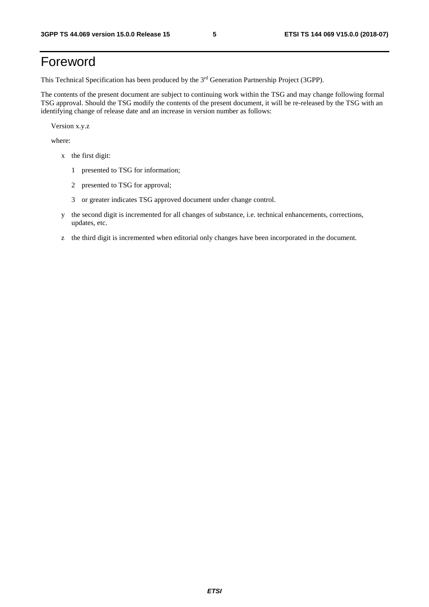## Foreword

This Technical Specification has been produced by the 3rd Generation Partnership Project (3GPP).

The contents of the present document are subject to continuing work within the TSG and may change following formal TSG approval. Should the TSG modify the contents of the present document, it will be re-released by the TSG with an identifying change of release date and an increase in version number as follows:

Version x.y.z

where:

- x the first digit:
	- 1 presented to TSG for information;
	- 2 presented to TSG for approval;
	- 3 or greater indicates TSG approved document under change control.
- y the second digit is incremented for all changes of substance, i.e. technical enhancements, corrections, updates, etc.
- z the third digit is incremented when editorial only changes have been incorporated in the document.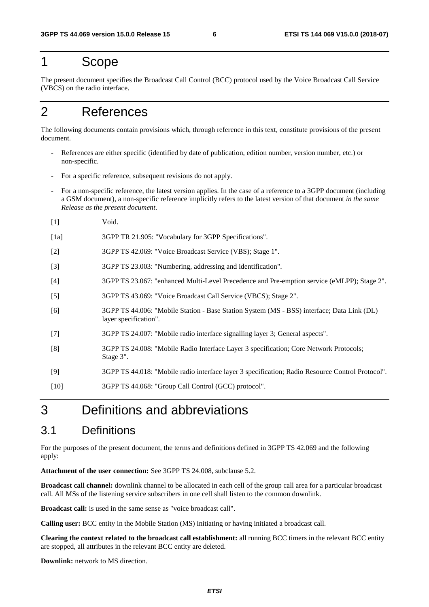### 1 Scope

The present document specifies the Broadcast Call Control (BCC) protocol used by the Voice Broadcast Call Service (VBCS) on the radio interface.

## 2 References

[1] Void.

The following documents contain provisions which, through reference in this text, constitute provisions of the present document.

- References are either specific (identified by date of publication, edition number, version number, etc.) or non-specific.
- For a specific reference, subsequent revisions do not apply.
- For a non-specific reference, the latest version applies. In the case of a reference to a 3GPP document (including a GSM document), a non-specific reference implicitly refers to the latest version of that document *in the same Release as the present document*.
- [1a] 3GPP TR 21.905: "Vocabulary for 3GPP Specifications".
- [2] 3GPP TS 42.069: "Voice Broadcast Service (VBS); Stage 1".
- [3] 3GPP TS 23.003: "Numbering, addressing and identification".
- [4] 3GPP TS 23.067: "enhanced Multi-Level Precedence and Pre-emption service (eMLPP); Stage 2".
- [5] 3GPP TS 43.069: "Voice Broadcast Call Service (VBCS); Stage 2".
- [6] 3GPP TS 44.006: "Mobile Station Base Station System (MS BSS) interface; Data Link (DL) layer specification".
- [7] 3GPP TS 24.007: "Mobile radio interface signalling layer 3; General aspects".
- [8] 3GPP TS 24.008: "Mobile Radio Interface Layer 3 specification; Core Network Protocols; Stage 3".
- [9] 3GPP TS 44.018: "Mobile radio interface layer 3 specification; Radio Resource Control Protocol".
- [10] 3GPP TS 44.068: "Group Call Control (GCC) protocol".

## 3 Definitions and abbreviations

### 3.1 Definitions

For the purposes of the present document, the terms and definitions defined in 3GPP TS 42.069 and the following apply:

**Attachment of the user connection:** See 3GPP TS 24.008, subclause 5.2.

**Broadcast call channel:** downlink channel to be allocated in each cell of the group call area for a particular broadcast call. All MSs of the listening service subscribers in one cell shall listen to the common downlink.

**Broadcast call:** is used in the same sense as "voice broadcast call".

**Calling user:** BCC entity in the Mobile Station (MS) initiating or having initiated a broadcast call.

**Clearing the context related to the broadcast call establishment:** all running BCC timers in the relevant BCC entity are stopped, all attributes in the relevant BCC entity are deleted.

**Downlink:** network to MS direction.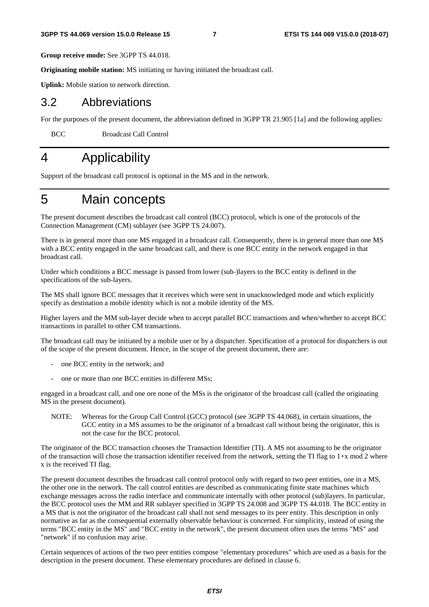**Group receive mode:** See 3GPP TS 44.018.

**Originating mobile station:** MS initiating or having initiated the broadcast call.

**Uplink:** Mobile station to network direction.

### 3.2 Abbreviations

For the purposes of the present document, the abbreviation defined in 3GPP TR 21.905 [1a] and the following applies:

BCC Broadcast Call Control

## 4 Applicability

Support of the broadcast call protocol is optional in the MS and in the network.

### 5 Main concepts

The present document describes the broadcast call control (BCC) protocol, which is one of the protocols of the Connection Management (CM) sublayer (see 3GPP TS 24.007).

There is in general more than one MS engaged in a broadcast call. Consequently, there is in general more than one MS with a BCC entity engaged in the same broadcast call, and there is one BCC entity in the network engaged in that broadcast call.

Under which conditions a BCC message is passed from lower (sub-)layers to the BCC entity is defined in the specifications of the sub-layers.

The MS shall ignore BCC messages that it receives which were sent in unacknowledged mode and which explicitly specify as destination a mobile identity which is not a mobile identity of the MS.

Higher layers and the MM sub-layer decide when to accept parallel BCC transactions and when/whether to accept BCC transactions in parallel to other CM transactions.

The broadcast call may be initiated by a mobile user or by a dispatcher. Specification of a protocol for dispatchers is out of the scope of the present document. Hence, in the scope of the present document, there are:

- one BCC entity in the network; and
- one or more than one BCC entities in different MSs;

engaged in a broadcast call, and one ore none of the MSs is the originator of the broadcast call (called the originating MS in the present document).

NOTE: Whereas for the Group Call Control (GCC) protocol (see 3GPP TS 44.068), in certain situations, the GCC entity in a MS assumes to be the originator of a broadcast call without being the originator, this is not the case for the BCC protocol.

The originator of the BCC transaction chooses the Transaction Identifier (TI). A MS not assuming to be the originator of the transaction will chose the transaction identifier received from the network, setting the TI flag to  $1+x \mod 2$  where x is the received TI flag.

The present document describes the broadcast call control protocol only with regard to two peer entities, one in a MS, the other one in the network. The call control entities are described as communicating finite state machines which exchange messages across the radio interface and communicate internally with other protocol (sub)layers. In particular, the BCC protocol uses the MM and RR sublayer specified in 3GPP TS 24.008 and 3GPP TS 44.018. The BCC entity in a MS that is not the originator of the broadcast call shall not send messages to its peer entity. This description in only normative as far as the consequential externally observable behaviour is concerned. For simplicity, instead of using the terms "BCC entity in the MS" and "BCC entity in the network", the present document often uses the terms "MS" and "network" if no confusion may arise.

Certain sequences of actions of the two peer entities compose "elementary procedures" which are used as a basis for the description in the present document. These elementary procedures are defined in clause 6.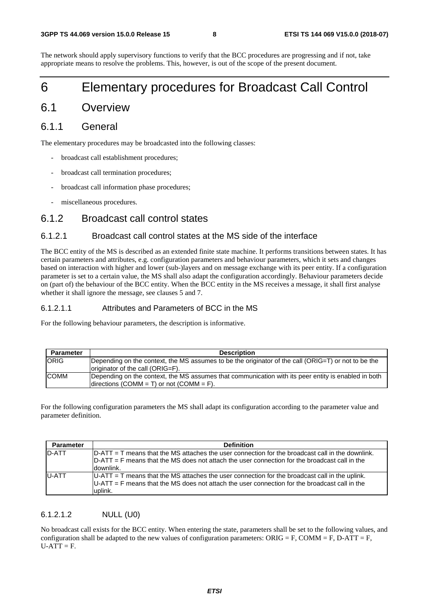The network should apply supervisory functions to verify that the BCC procedures are progressing and if not, take appropriate means to resolve the problems. This, however, is out of the scope of the present document.

### 6 Elementary procedures for Broadcast Call Control

### 6.1 Overview

### 6.1.1 General

The elementary procedures may be broadcasted into the following classes:

- broadcast call establishment procedures;
- broadcast call termination procedures;
- broadcast call information phase procedures;
- miscellaneous procedures.

### 6.1.2 Broadcast call control states

#### 6.1.2.1 Broadcast call control states at the MS side of the interface

The BCC entity of the MS is described as an extended finite state machine. It performs transitions between states. It has certain parameters and attributes, e.g. configuration parameters and behaviour parameters, which it sets and changes based on interaction with higher and lower (sub-)layers and on message exchange with its peer entity. If a configuration parameter is set to a certain value, the MS shall also adapt the configuration accordingly. Behaviour parameters decide on (part of) the behaviour of the BCC entity. When the BCC entity in the MS receives a message, it shall first analyse whether it shall ignore the message, see clauses 5 and 7.

#### 6.1.2.1.1 Attributes and Parameters of BCC in the MS

For the following behaviour parameters, the description is informative.

| <b>Parameter</b> | <b>Description</b>                                                                                  |  |  |  |  |
|------------------|-----------------------------------------------------------------------------------------------------|--|--|--|--|
| <b>ORIG</b>      | Depending on the context, the MS assumes to be the originator of the call (ORIG=T) or not to be the |  |  |  |  |
|                  | originator of the call (ORIG=F).                                                                    |  |  |  |  |
| <b>COMM</b>      | Depending on the context, the MS assumes that communication with its peer entity is enabled in both |  |  |  |  |
|                  | directions (COMM = T) or not (COMM = F).                                                            |  |  |  |  |

For the following configuration parameters the MS shall adapt its configuration according to the parameter value and parameter definition.

| <b>Parameter</b> | <b>Definition</b>                                                                                                                                                                                                |
|------------------|------------------------------------------------------------------------------------------------------------------------------------------------------------------------------------------------------------------|
| <b>D-ATT</b>     | D-ATT = T means that the MS attaches the user connection for the broadcast call in the downlink.<br>$D-ATT = F$ means that the MS does not attach the user connection for the broadcast call in the<br>downlink. |
| <b>IU-ATT</b>    | $ U-ATT $ T means that the MS attaches the user connection for the broadcast call in the uplink.<br>$ U-ATT $ = F means that the MS does not attach the user connection for the broadcast call in the<br>uplink. |

#### 6.1.2.1.2 NULL (U0)

No broadcast call exists for the BCC entity. When entering the state, parameters shall be set to the following values, and configuration shall be adapted to the new values of configuration parameters:  $ORIG = F$ ,  $COMM = F$ ,  $D-ATT = F$ ,  $U-ATT = F.$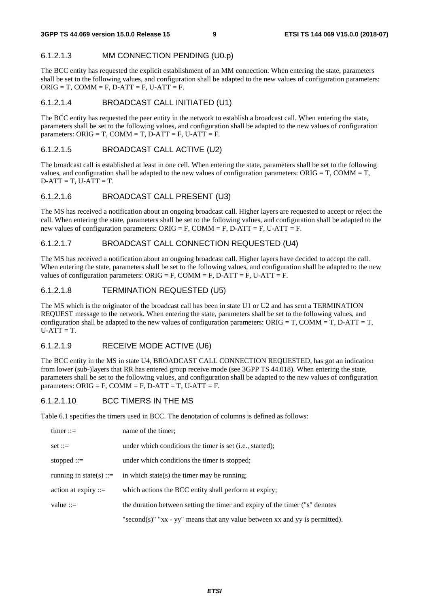#### 6.1.2.1.3 MM CONNECTION PENDING (U0.p)

The BCC entity has requested the explicit establishment of an MM connection. When entering the state, parameters shall be set to the following values, and configuration shall be adapted to the new values of configuration parameters:  $ORIG = T$ ,  $COMM = F$ ,  $D-ATT = F$ ,  $U-ATT = F$ .

#### 6.1.2.1.4 BROADCAST CALL INITIATED (U1)

The BCC entity has requested the peer entity in the network to establish a broadcast call. When entering the state, parameters shall be set to the following values, and configuration shall be adapted to the new values of configuration parameters:  $ORIG = T$ ,  $COMM = T$ ,  $D-ATT = F$ ,  $U-ATT = F$ .

#### 6.1.2.1.5 BROADCAST CALL ACTIVE (U2)

The broadcast call is established at least in one cell. When entering the state, parameters shall be set to the following values, and configuration shall be adapted to the new values of configuration parameters:  $ORIG = T$ ,  $COMM = T$ ,  $D-ATT = T$ ,  $U-ATT = T$ .

#### 6.1.2.1.6 BROADCAST CALL PRESENT (U3)

The MS has received a notification about an ongoing broadcast call. Higher layers are requested to accept or reject the call. When entering the state, parameters shall be set to the following values, and configuration shall be adapted to the new values of configuration parameters: ORIG = F, COMM = F, D-ATT = F, U-ATT = F.

#### 6.1.2.1.7 BROADCAST CALL CONNECTION REQUESTED (U4)

The MS has received a notification about an ongoing broadcast call. Higher layers have decided to accept the call. When entering the state, parameters shall be set to the following values, and configuration shall be adapted to the new values of configuration parameters:  $ORIG = F$ ,  $COMM = F$ ,  $D-ATT = F$ ,  $U-ATT = F$ .

#### 6.1.2.1.8 TERMINATION REQUESTED (U5)

The MS which is the originator of the broadcast call has been in state U1 or U2 and has sent a TERMINATION REQUEST message to the network. When entering the state, parameters shall be set to the following values, and configuration shall be adapted to the new values of configuration parameters:  $ORIG = T$ ,  $COMM = T$ ,  $D-ATT = T$ ,  $U-ATT = T.$ 

#### 6.1.2.1.9 RECEIVE MODE ACTIVE (U6)

The BCC entity in the MS in state U4, BROADCAST CALL CONNECTION REQUESTED, has got an indication from lower (sub-)layers that RR has entered group receive mode (see 3GPP TS 44.018). When entering the state, parameters shall be set to the following values, and configuration shall be adapted to the new values of configuration parameters: ORIG = F, COMM = F, D-ATT = T, U-ATT = F.

#### 6.1.2.1.10 BCC TIMERS IN THE MS

Table 6.1 specifies the timers used in BCC. The denotation of columns is defined as follows:

| $timer ::=$             | name of the timer;                                                                  |
|-------------------------|-------------------------------------------------------------------------------------|
| $set ::=$               | under which conditions the timer is set ( <i>i.e.</i> , started);                   |
| stopped $::=$           | under which conditions the timer is stopped;                                        |
| running in state(s) ::= | in which state(s) the timer may be running;                                         |
| action at expiry $ ::=$ | which actions the BCC entity shall perform at expiry;                               |
| value $::=$             | the duration between setting the timer and expiry of the timer ("s" denotes         |
|                         | "second(s)" " $xx - yy$ " means that any value between $xx$ and $yy$ is permitted). |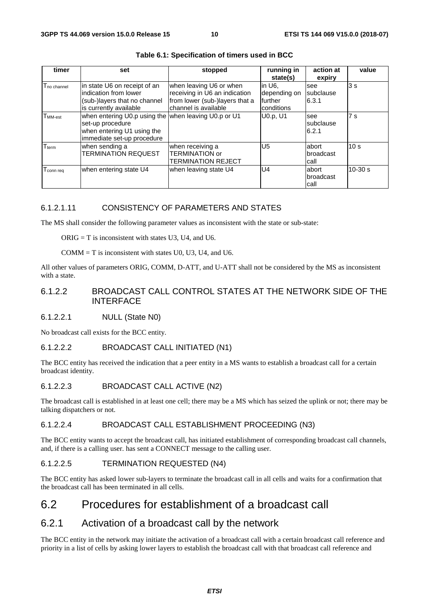| timer                   | set                                                  | stopped                        | running in   | action at  | value           |
|-------------------------|------------------------------------------------------|--------------------------------|--------------|------------|-----------------|
|                         |                                                      |                                | state(s)     | expiry     |                 |
| T <sub>no channel</sub> | in state U6 on receipt of an                         | when leaving U6 or when        | in U6.       | see        | 3 <sub>s</sub>  |
|                         | indication from lower                                | receiving in U6 an indication  | depending on | subclause  |                 |
|                         | (sub-)layers that no channel                         | from lower (sub-)layers that a | further      | 6.3.1      |                 |
|                         | is currently available                               | channel is available           | conditions   |            |                 |
| T <sub>MM-est</sub>     | when entering U0.p using the when leaving U0.p or U1 |                                | U0.p. U1     | see        | 7 <sub>s</sub>  |
|                         | set-up procedure                                     |                                |              | Isubclause |                 |
|                         | when entering U1 using the                           |                                |              | 6.2.1      |                 |
|                         | immediate set-up procedure                           |                                |              |            |                 |
| $T_{term}$              | when sending a                                       | when receiving a               | U5           | labort     | 10 <sub>s</sub> |
|                         | <b>TERMINATION REQUEST</b>                           | <b>TERMINATION or</b>          |              | broadcast  |                 |
|                         |                                                      | TERMINATION REJECT             |              | call       |                 |
| T <sub>connreq</sub>    | when entering state U4                               | when leaving state U4          | U4           | labort     | $10-30 s$       |
|                         |                                                      |                                |              | broadcast  |                 |
|                         |                                                      |                                |              | call       |                 |

**Table 6.1: Specification of timers used in BCC** 

#### 6.1.2.1.11 CONSISTENCY OF PARAMETERS AND STATES

The MS shall consider the following parameter values as inconsistent with the state or sub-state:

 $ORIG = T$  is inconsistent with states U3, U4, and U6.

 $COMM = T$  is inconsistent with states U0, U3, U4, and U6.

All other values of parameters ORIG, COMM, D-ATT, and U-ATT shall not be considered by the MS as inconsistent with a state.

#### 6.1.2.2 BROADCAST CALL CONTROL STATES AT THE NETWORK SIDE OF THE **INTERFACE**

#### 6.1.2.2.1 NULL (State N0)

No broadcast call exists for the BCC entity.

#### 6.1.2.2.2 BROADCAST CALL INITIATED (N1)

The BCC entity has received the indication that a peer entity in a MS wants to establish a broadcast call for a certain broadcast identity.

#### 6.1.2.2.3 BROADCAST CALL ACTIVE (N2)

The broadcast call is established in at least one cell; there may be a MS which has seized the uplink or not; there may be talking dispatchers or not.

#### 6.1.2.2.4 BROADCAST CALL ESTABLISHMENT PROCEEDING (N3)

The BCC entity wants to accept the broadcast call, has initiated establishment of corresponding broadcast call channels, and, if there is a calling user. has sent a CONNECT message to the calling user.

#### 6.1.2.2.5 TERMINATION REQUESTED (N4)

The BCC entity has asked lower sub-layers to terminate the broadcast call in all cells and waits for a confirmation that the broadcast call has been terminated in all cells.

### 6.2 Procedures for establishment of a broadcast call

### 6.2.1 Activation of a broadcast call by the network

The BCC entity in the network may initiate the activation of a broadcast call with a certain broadcast call reference and priority in a list of cells by asking lower layers to establish the broadcast call with that broadcast call reference and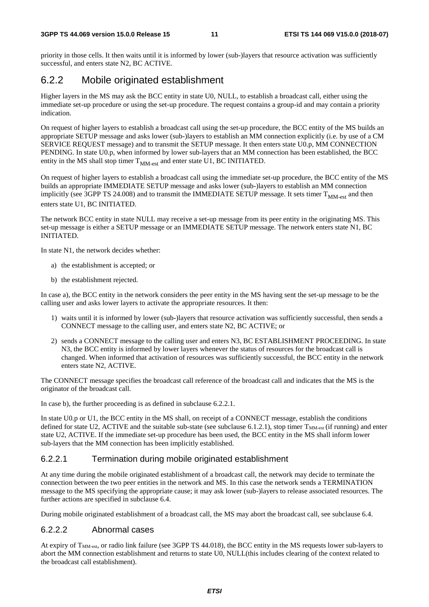priority in those cells. It then waits until it is informed by lower (sub-)layers that resource activation was sufficiently successful, and enters state N2, BC ACTIVE.

### 6.2.2 Mobile originated establishment

Higher layers in the MS may ask the BCC entity in state U0, NULL, to establish a broadcast call, either using the immediate set-up procedure or using the set-up procedure. The request contains a group-id and may contain a priority indication.

On request of higher layers to establish a broadcast call using the set-up procedure, the BCC entity of the MS builds an appropriate SETUP message and asks lower (sub-)layers to establish an MM connection explicitly (i.e. by use of a CM SERVICE REQUEST message) and to transmit the SETUP message. It then enters state U0.p, MM CONNECTION PENDING. In state U0.p, when informed by lower sub-layers that an MM connection has been established, the BCC entity in the MS shall stop timer  $T_{MM-est}$  and enter state U1, BC INITIATED.

On request of higher layers to establish a broadcast call using the immediate set-up procedure, the BCC entity of the MS builds an appropriate IMMEDIATE SETUP message and asks lower (sub-)layers to establish an MM connection implicitly (see 3GPP TS 24.008) and to transmit the IMMEDIATE SETUP message. It sets timer  $T<sub>MM-est</sub>$  and then enters state U1, BC INITIATED.

The network BCC entity in state NULL may receive a set-up message from its peer entity in the originating MS. This set-up message is either a SETUP message or an IMMEDIATE SETUP message. The network enters state N1, BC INITIATED.

In state N1, the network decides whether:

- a) the establishment is accepted; or
- b) the establishment rejected.

In case a), the BCC entity in the network considers the peer entity in the MS having sent the set-up message to be the calling user and asks lower layers to activate the appropriate resources. It then:

- 1) waits until it is informed by lower (sub-)layers that resource activation was sufficiently successful, then sends a CONNECT message to the calling user, and enters state N2, BC ACTIVE; or
- 2) sends a CONNECT message to the calling user and enters N3, BC ESTABLISHMENT PROCEEDING. In state N3, the BCC entity is informed by lower layers whenever the status of resources for the broadcast call is changed. When informed that activation of resources was sufficiently successful, the BCC entity in the network enters state N2, ACTIVE.

The CONNECT message specifies the broadcast call reference of the broadcast call and indicates that the MS is the originator of the broadcast call.

In case b), the further proceeding is as defined in subclause 6.2.2.1.

In state U0.p or U1, the BCC entity in the MS shall, on receipt of a CONNECT message, establish the conditions defined for state U2, ACTIVE and the suitable sub-state (see subclause 6.1.2.1), stop timer  $T_{\text{MM-est}}$  (if running) and enter state U2, ACTIVE. If the immediate set-up procedure has been used, the BCC entity in the MS shall inform lower sub-layers that the MM connection has been implicitly established.

#### 6.2.2.1 Termination during mobile originated establishment

At any time during the mobile originated establishment of a broadcast call, the network may decide to terminate the connection between the two peer entities in the network and MS. In this case the network sends a TERMINATION message to the MS specifying the appropriate cause; it may ask lower (sub-)layers to release associated resources. The further actions are specified in subclause 6.4.

During mobile originated establishment of a broadcast call, the MS may abort the broadcast call, see subclause 6.4.

#### 6.2.2.2 Abnormal cases

At expiry of  $T<sub>MM-est</sub>$ , or radio link failure (see 3GPP TS 44.018), the BCC entity in the MS requests lower sub-layers to abort the MM connection establishment and returns to state U0, NULL(this includes clearing of the context related to the broadcast call establishment).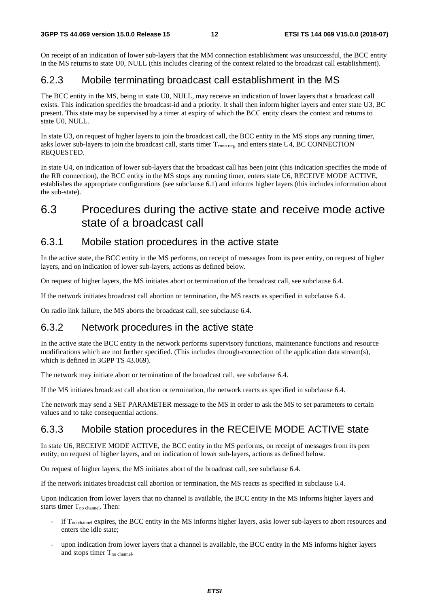On receipt of an indication of lower sub-layers that the MM connection establishment was unsuccessful, the BCC entity in the MS returns to state U0, NULL (this includes clearing of the context related to the broadcast call establishment).

### 6.2.3 Mobile terminating broadcast call establishment in the MS

The BCC entity in the MS, being in state U0, NULL, may receive an indication of lower layers that a broadcast call exists. This indication specifies the broadcast-id and a priority. It shall then inform higher layers and enter state U3, BC present. This state may be supervised by a timer at expiry of which the BCC entity clears the context and returns to state U0, NULL.

In state U3, on request of higher layers to join the broadcast call, the BCC entity in the MS stops any running timer, asks lower sub-layers to join the broadcast call, starts timer  $T_{\text{conn, req}}$ , and enters state U4, BC CONNECTION REQUESTED.

In state U4, on indication of lower sub-layers that the broadcast call has been joint (this indication specifies the mode of the RR connection), the BCC entity in the MS stops any running timer, enters state U6, RECEIVE MODE ACTIVE, establishes the appropriate configurations (see subclause 6.1) and informs higher layers (this includes information about the sub-state).

### 6.3 Procedures during the active state and receive mode active state of a broadcast call

### 6.3.1 Mobile station procedures in the active state

In the active state, the BCC entity in the MS performs, on receipt of messages from its peer entity, on request of higher layers, and on indication of lower sub-layers, actions as defined below.

On request of higher layers, the MS initiates abort or termination of the broadcast call, see subclause 6.4.

If the network initiates broadcast call abortion or termination, the MS reacts as specified in subclause 6.4.

On radio link failure, the MS aborts the broadcast call, see subclause 6.4.

### 6.3.2 Network procedures in the active state

In the active state the BCC entity in the network performs supervisory functions, maintenance functions and resource modifications which are not further specified. (This includes through-connection of the application data stream(s), which is defined in 3GPP TS 43.069).

The network may initiate abort or termination of the broadcast call, see subclause 6.4.

If the MS initiates broadcast call abortion or termination, the network reacts as specified in subclause 6.4.

The network may send a SET PARAMETER message to the MS in order to ask the MS to set parameters to certain values and to take consequential actions.

### 6.3.3 Mobile station procedures in the RECEIVE MODE ACTIVE state

In state U6, RECEIVE MODE ACTIVE, the BCC entity in the MS performs, on receipt of messages from its peer entity, on request of higher layers, and on indication of lower sub-layers, actions as defined below.

On request of higher layers, the MS initiates abort of the broadcast call, see subclause 6.4.

If the network initiates broadcast call abortion or termination, the MS reacts as specified in subclause 6.4.

Upon indication from lower layers that no channel is available, the BCC entity in the MS informs higher layers and starts timer  $T_{no \text{ channel}}$ . Then:

- if  $T_{\text{no channel}}$  expires, the BCC entity in the MS informs higher layers, asks lower sub-layers to abort resources and enters the idle state;
- upon indication from lower layers that a channel is available, the BCC entity in the MS informs higher layers and stops timer  $T_{no \text{ channel}}$ .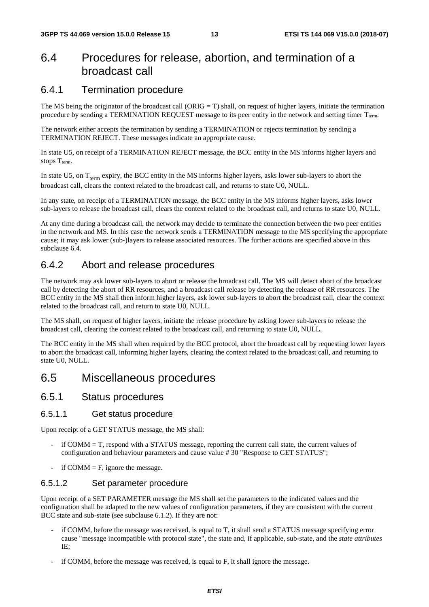### 6.4 Procedures for release, abortion, and termination of a broadcast call

### 6.4.1 Termination procedure

The MS being the originator of the broadcast call (ORIG = T) shall, on request of higher layers, initiate the termination procedure by sending a TERMINATION REQUEST message to its peer entity in the network and setting timer T<sub>term</sub>.

The network either accepts the termination by sending a TERMINATION or rejects termination by sending a TERMINATION REJECT. These messages indicate an appropriate cause.

In state U5, on receipt of a TERMINATION REJECT message, the BCC entity in the MS informs higher layers and stops  $T_{term}$ .

In state U5, on  $T_{term}$  expiry, the BCC entity in the MS informs higher layers, asks lower sub-layers to abort the broadcast call, clears the context related to the broadcast call, and returns to state U0, NULL.

In any state, on receipt of a TERMINATION message, the BCC entity in the MS informs higher layers, asks lower sub-layers to release the broadcast call, clears the context related to the broadcast call, and returns to state U0, NULL.

At any time during a broadcast call, the network may decide to terminate the connection between the two peer entities in the network and MS. In this case the network sends a TERMINATION message to the MS specifying the appropriate cause; it may ask lower (sub-)layers to release associated resources. The further actions are specified above in this subclause 6.4.

### 6.4.2 Abort and release procedures

The network may ask lower sub-layers to abort or release the broadcast call. The MS will detect abort of the broadcast call by detecting the abort of RR resources, and a broadcast call release by detecting the release of RR resources. The BCC entity in the MS shall then inform higher layers, ask lower sub-layers to abort the broadcast call, clear the context related to the broadcast call, and return to state U0, NULL.

The MS shall, on request of higher layers, initiate the release procedure by asking lower sub-layers to release the broadcast call, clearing the context related to the broadcast call, and returning to state U0, NULL.

The BCC entity in the MS shall when required by the BCC protocol, abort the broadcast call by requesting lower layers to abort the broadcast call, informing higher layers, clearing the context related to the broadcast call, and returning to state U0, NULL.

### 6.5 Miscellaneous procedures

### 6.5.1 Status procedures

#### 6.5.1.1 Get status procedure

Upon receipt of a GET STATUS message, the MS shall:

- if COMM = T, respond with a STATUS message, reporting the current call state, the current values of configuration and behaviour parameters and cause value # 30 "Response to GET STATUS";
- if COMM  $=$  F, ignore the message.

#### 6.5.1.2 Set parameter procedure

Upon receipt of a SET PARAMETER message the MS shall set the parameters to the indicated values and the configuration shall be adapted to the new values of configuration parameters, if they are consistent with the current BCC state and sub-state (see subclause 6.1.2). If they are not:

- if COMM, before the message was received, is equal to T, it shall send a STATUS message specifying error cause "message incompatible with protocol state", the state and, if applicable, sub-state, and the *state attributes* IE;
- if COMM, before the message was received, is equal to F, it shall ignore the message.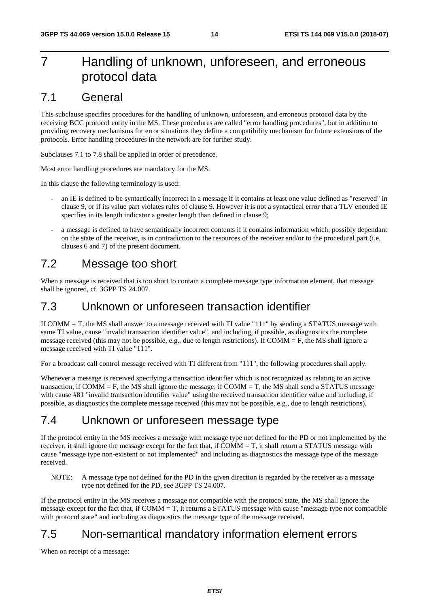## 7 Handling of unknown, unforeseen, and erroneous protocol data

### 7.1 General

This subclause specifies procedures for the handling of unknown, unforeseen, and erroneous protocol data by the receiving BCC protocol entity in the MS. These procedures are called "error handling procedures", but in addition to providing recovery mechanisms for error situations they define a compatibility mechanism for future extensions of the protocols. Error handling procedures in the network are for further study.

Subclauses 7.1 to 7.8 shall be applied in order of precedence.

Most error handling procedures are mandatory for the MS.

In this clause the following terminology is used:

- an IE is defined to be syntactically incorrect in a message if it contains at least one value defined as "reserved" in clause 9, or if its value part violates rules of clause 9. However it is not a syntactical error that a TLV encoded IE specifies in its length indicator a greater length than defined in clause 9;
- a message is defined to have semantically incorrect contents if it contains information which, possibly dependant on the state of the receiver, is in contradiction to the resources of the receiver and/or to the procedural part (i.e. clauses 6 and 7) of the present document.

### 7.2 Message too short

When a message is received that is too short to contain a complete message type information element, that message shall be ignored, cf. 3GPP TS 24.007.

### 7.3 Unknown or unforeseen transaction identifier

If COMM = T, the MS shall answer to a message received with TI value "111" by sending a STATUS message with same TI value, cause "invalid transaction identifier value", and including, if possible, as diagnostics the complete message received (this may not be possible, e.g., due to length restrictions). If COMM = F, the MS shall ignore a message received with TI value "111".

For a broadcast call control message received with TI different from "111", the following procedures shall apply.

Whenever a message is received specifying a transaction identifier which is not recognized as relating to an active transaction, if  $COMM = F$ , the MS shall ignore the message; if  $COMM = T$ , the MS shall send a STATUS message with cause #81 "invalid transaction identifier value" using the received transaction identifier value and including, if possible, as diagnostics the complete message received (this may not be possible, e.g., due to length restrictions).

### 7.4 Unknown or unforeseen message type

If the protocol entity in the MS receives a message with message type not defined for the PD or not implemented by the receiver, it shall ignore the message except for the fact that, if COMM = T, it shall return a STATUS message with cause "message type non-existent or not implemented" and including as diagnostics the message type of the message received.

NOTE: A message type not defined for the PD in the given direction is regarded by the receiver as a message type not defined for the PD, see 3GPP TS 24.007.

If the protocol entity in the MS receives a message not compatible with the protocol state, the MS shall ignore the message except for the fact that, if COMM = T, it returns a STATUS message with cause "message type not compatible with protocol state" and including as diagnostics the message type of the message received.

### 7.5 Non-semantical mandatory information element errors

When on receipt of a message: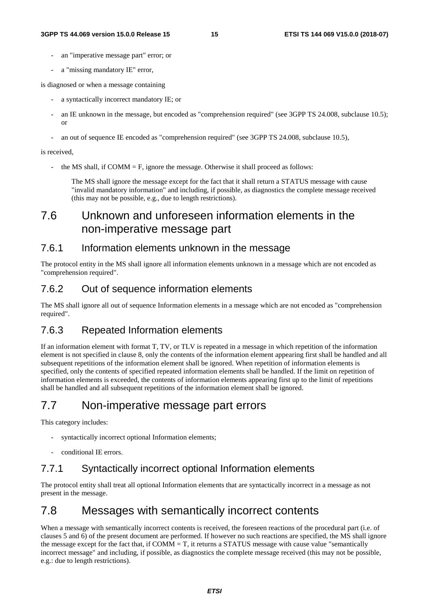- an "imperative message part" error; or
- a "missing mandatory IE" error,

is diagnosed or when a message containing

- a syntactically incorrect mandatory IE; or
- an IE unknown in the message, but encoded as "comprehension required" (see 3GPP TS 24.008, subclause 10.5); or
- an out of sequence IE encoded as "comprehension required" (see 3GPP TS 24.008, subclause 10.5),

is received,

the MS shall, if  $COMM = F$ , ignore the message. Otherwise it shall proceed as follows:

 The MS shall ignore the message except for the fact that it shall return a STATUS message with cause "invalid mandatory information" and including, if possible, as diagnostics the complete message received (this may not be possible, e.g., due to length restrictions).

### 7.6 Unknown and unforeseen information elements in the non-imperative message part

### 7.6.1 Information elements unknown in the message

The protocol entity in the MS shall ignore all information elements unknown in a message which are not encoded as "comprehension required".

### 7.6.2 Out of sequence information elements

The MS shall ignore all out of sequence Information elements in a message which are not encoded as "comprehension required".

### 7.6.3 Repeated Information elements

If an information element with format T, TV, or TLV is repeated in a message in which repetition of the information element is not specified in clause 8, only the contents of the information element appearing first shall be handled and all subsequent repetitions of the information element shall be ignored. When repetition of information elements is specified, only the contents of specified repeated information elements shall be handled. If the limit on repetition of information elements is exceeded, the contents of information elements appearing first up to the limit of repetitions shall be handled and all subsequent repetitions of the information element shall be ignored.

### 7.7 Non-imperative message part errors

This category includes:

- syntactically incorrect optional Information elements;
- conditional IE errors.

### 7.7.1 Syntactically incorrect optional Information elements

The protocol entity shall treat all optional Information elements that are syntactically incorrect in a message as not present in the message.

### 7.8 Messages with semantically incorrect contents

When a message with semantically incorrect contents is received, the foreseen reactions of the procedural part (i.e. of clauses 5 and 6) of the present document are performed. If however no such reactions are specified, the MS shall ignore the message except for the fact that, if COMM = T, it returns a STATUS message with cause value "semantically incorrect message" and including, if possible, as diagnostics the complete message received (this may not be possible, e.g.: due to length restrictions).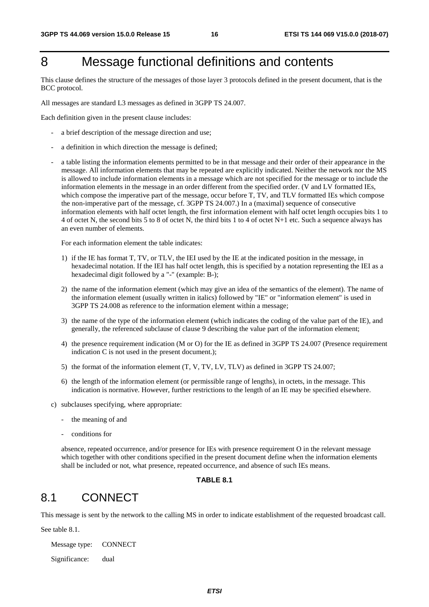## 8 Message functional definitions and contents

This clause defines the structure of the messages of those layer 3 protocols defined in the present document, that is the BCC protocol.

All messages are standard L3 messages as defined in 3GPP TS 24.007.

Each definition given in the present clause includes:

- a brief description of the message direction and use;
- a definition in which direction the message is defined;
- a table listing the information elements permitted to be in that message and their order of their appearance in the message. All information elements that may be repeated are explicitly indicated. Neither the network nor the MS is allowed to include information elements in a message which are not specified for the message or to include the information elements in the message in an order different from the specified order. (V and LV formatted IEs, which compose the imperative part of the message, occur before T, TV, and TLV formatted IEs which compose the non-imperative part of the message, cf. 3GPP TS 24.007.) In a (maximal) sequence of consecutive information elements with half octet length, the first information element with half octet length occupies bits 1 to 4 of octet N, the second bits 5 to 8 of octet N, the third bits 1 to 4 of octet N+1 etc. Such a sequence always has an even number of elements.

For each information element the table indicates:

- 1) if the IE has format T, TV, or TLV, the IEI used by the IE at the indicated position in the message, in hexadecimal notation. If the IEI has half octet length, this is specified by a notation representing the IEI as a hexadecimal digit followed by a "-" (example: B-);
- 2) the name of the information element (which may give an idea of the semantics of the element). The name of the information element (usually written in italics) followed by "IE" or "information element" is used in 3GPP TS 24.008 as reference to the information element within a message;
- 3) the name of the type of the information element (which indicates the coding of the value part of the IE), and generally, the referenced subclause of clause 9 describing the value part of the information element;
- 4) the presence requirement indication (M or O) for the IE as defined in 3GPP TS 24.007 (Presence requirement indication C is not used in the present document.);
- 5) the format of the information element (T, V, TV, LV, TLV) as defined in 3GPP TS 24.007;
- 6) the length of the information element (or permissible range of lengths), in octets, in the message. This indication is normative. However, further restrictions to the length of an IE may be specified elsewhere.
- c) subclauses specifying, where appropriate:
	- the meaning of and
	- conditions for

 absence, repeated occurrence, and/or presence for IEs with presence requirement O in the relevant message which together with other conditions specified in the present document define when the information elements shall be included or not, what presence, repeated occurrence, and absence of such IEs means.

#### **TABLE 8.1**

### 8.1 CONNECT

This message is sent by the network to the calling MS in order to indicate establishment of the requested broadcast call.

See table 8.1.

Message type: CONNECT

Significance: dual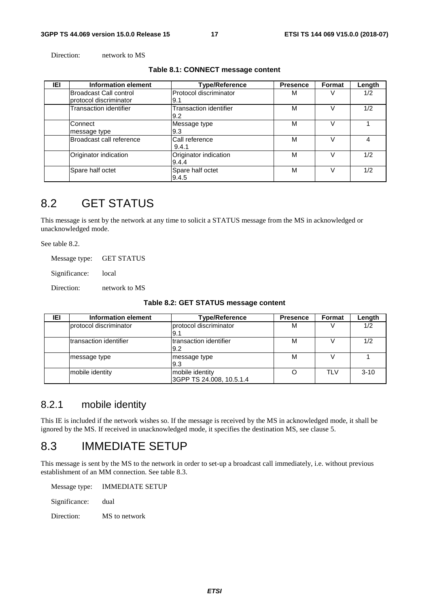Direction: network to MS

#### **Table 8.1: CONNECT message content**

| IEI | Information element                                     | <b>Type/Reference</b>          | <b>Presence</b> | Format | Length |
|-----|---------------------------------------------------------|--------------------------------|-----------------|--------|--------|
|     | <b>Broadcast Call control</b><br>protocol discriminator | Protocol discriminator<br>9.1  | М               |        | 1/2    |
|     | <b>Transaction identifier</b>                           | Transaction identifier<br>9.2  | M               |        | 1/2    |
|     | Connect<br>message type                                 | Message type<br>9.3            | M               |        |        |
|     | Broadcast call reference                                | Call reference<br>9.4.1        | M               |        | 4      |
|     | Originator indication                                   | Originator indication<br>9.4.4 | M               |        | 1/2    |
|     | Spare half octet                                        | Spare half octet<br>9.4.5      | М               |        | 1/2    |

### 8.2 GET STATUS

This message is sent by the network at any time to solicit a STATUS message from the MS in acknowledged or unacknowledged mode.

See table 8.2.

Message type: GET STATUS

Significance: local

Direction: network to MS

| IEI | Information element     | <b>Type/Reference</b>                       | <b>Presence</b> | Format     | Length   |
|-----|-------------------------|---------------------------------------------|-----------------|------------|----------|
|     | protocol discriminator  | protocol discriminator<br>l9.1              | м               |            | 1/2      |
|     | Itransaction identifier | Itransaction identifier<br>9.2              | M               |            | 1/2      |
|     | message type            | message type<br>9.3                         | м               |            |          |
|     | mobile identity         | mobile identity<br>3GPP TS 24.008, 10.5.1.4 |                 | <b>TLV</b> | $3 - 10$ |

### 8.2.1 mobile identity

This IE is included if the network wishes so. If the message is received by the MS in acknowledged mode, it shall be ignored by the MS. If received in unacknowledged mode, it specifies the destination MS, see clause 5.

### 8.3 IMMEDIATE SETUP

This message is sent by the MS to the network in order to set-up a broadcast call immediately, i.e. without previous establishment of an MM connection. See table 8.3.

Message type: IMMEDIATE SETUP

Significance: dual

Direction: MS to network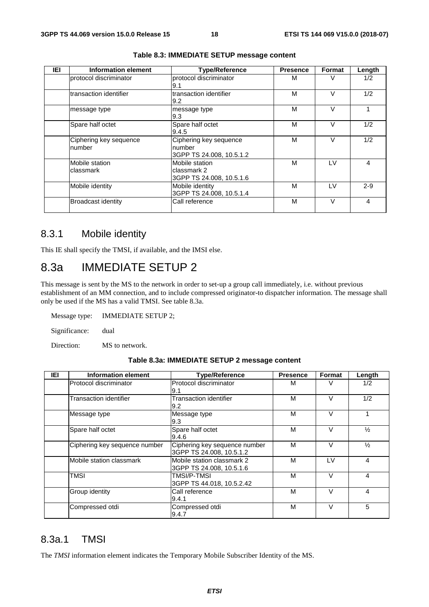| IEI | <b>Information element</b>       | Type/Reference                                               | <b>Presence</b> | <b>Format</b> | Length  |
|-----|----------------------------------|--------------------------------------------------------------|-----------------|---------------|---------|
|     | protocol discriminator           | protocol discriminator<br>9.1                                | м               |               | 1/2     |
|     | transaction identifier           | transaction identifier<br>9.2                                | M               | $\vee$        | 1/2     |
|     | message type                     | message type<br>9.3                                          | M               | $\vee$        |         |
|     | Spare half octet                 | Spare half octet<br>9.4.5                                    | M               | v             | 1/2     |
|     | Ciphering key sequence<br>number | Ciphering key sequence<br>number<br>3GPP TS 24.008, 10.5.1.2 | м               | $\vee$        | 1/2     |
|     | Mobile station<br>classmark      | Mobile station<br>classmark 2<br>3GPP TS 24.008, 10.5.1.6    | м               | LV            | 4       |
|     | Mobile identity                  | Mobile identity<br>3GPP TS 24.008, 10.5.1.4                  | м               | LV            | $2 - 9$ |
|     | <b>Broadcast identity</b>        | Call reference                                               | M               | $\vee$        | 4       |

#### **Table 8.3: IMMEDIATE SETUP message content**

### 8.3.1 Mobile identity

This IE shall specify the TMSI, if available, and the IMSI else.

### 8.3a IMMEDIATE SETUP 2

This message is sent by the MS to the network in order to set-up a group call immediately, i.e. without previous establishment of an MM connection, and to include compressed originator-to dispatcher information. The message shall only be used if the MS has a valid TMSI. See table 8.3a.

Message type: IMMEDIATE SETUP 2;

Significance: dual

Direction: MS to network.

#### **Table 8.3a: IMMEDIATE SETUP 2 message content**

| IEI | <b>Information element</b>    | <b>Type/Reference</b>                                     | <b>Presence</b> | Format | Length         |
|-----|-------------------------------|-----------------------------------------------------------|-----------------|--------|----------------|
|     | Protocol discriminator        | Protocol discriminator<br>9.1                             | м               | V      | 1/2            |
|     | Transaction identifier        | Transaction identifier<br>9.2                             | м               | $\vee$ | 1/2            |
|     | Message type                  | Message type<br>9.3                                       | М               | $\vee$ |                |
|     | Spare half octet              | Spare half octet<br>9.4.6                                 | М               | v      | $\frac{1}{2}$  |
|     | Ciphering key sequence number | Ciphering key sequence number<br>3GPP TS 24.008, 10.5.1.2 | м               | V      | $\frac{1}{2}$  |
|     | Mobile station classmark      | Mobile station classmark 2<br>3GPP TS 24.008, 10.5.1.6    | M               | LV     | $\overline{4}$ |
|     | TMSI                          | TMSI/P-TMSI<br>3GPP TS 44.018, 10.5.2.42                  | M               | $\vee$ | 4              |
|     | Group identity                | Call reference<br>9.4.1                                   | M               | $\vee$ | $\overline{4}$ |
|     | Compressed otdi               | Compressed otdi<br>9.4.7                                  | M               | V      | 5              |

### 8.3a.1 TMSI

The *TMSI* information element indicates the Temporary Mobile Subscriber Identity of the MS.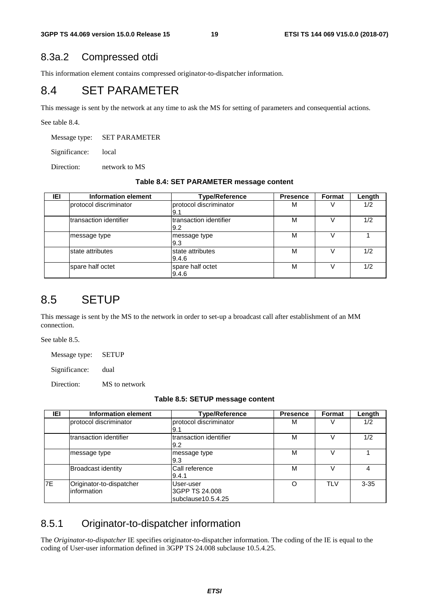### 8.3a.2 Compressed otdi

This information element contains compressed originator-to-dispatcher information.

### 8.4 SET PARAMETER

This message is sent by the network at any time to ask the MS for setting of parameters and consequential actions.

See table 8.4.

Message type: SET PARAMETER

Significance: local

Direction: network to MS

| IEI | Information element    | <b>Type/Reference</b>          | <b>Presence</b> | <b>Format</b> | Length |
|-----|------------------------|--------------------------------|-----------------|---------------|--------|
|     | protocol discriminator | protocol discriminator<br> 9.1 | м               |               | 1/2    |
|     | transaction identifier | Itransaction identifier<br>9.2 | М               |               | 1/2    |
|     | message type           | message type<br>9.3            | М               |               |        |
|     | state attributes       | state attributes<br>9.4.6      | М               |               | 1/2    |
|     | spare half octet       | spare half octet<br>9.4.6      | M               |               | 1/2    |

### 8.5 SETUP

This message is sent by the MS to the network in order to set-up a broadcast call after establishment of an MM connection.

See table 8.5.

Message type: SETUP

Significance: dual

Direction: MS to network

|  |  |  | Table 8.5: SETUP message content |  |
|--|--|--|----------------------------------|--|
|--|--|--|----------------------------------|--|

| IEI       | Information element                     | <b>Type/Reference</b>                             | <b>Presence</b> | Format     | Length   |
|-----------|-----------------------------------------|---------------------------------------------------|-----------------|------------|----------|
|           | protocol discriminator                  | protocol discriminator<br>9.1                     | M               |            | 1/2      |
|           | transaction identifier                  | Itransaction identifier<br>9.2                    | M               |            | 1/2      |
|           | message type                            | message type<br>9.3                               | M               |            |          |
|           | Broadcast identity                      | Call reference<br>9.4.1                           | M               |            | 4        |
| <b>7E</b> | Originator-to-dispatcher<br>information | User-user<br>3GPP TS 24,008<br>subclause10.5.4.25 | Ω               | <b>TLV</b> | $3 - 35$ |

### 8.5.1 Originator-to-dispatcher information

The *Originator-to-dispatcher* IE specifies originator-to-dispatcher information. The coding of the IE is equal to the coding of User-user information defined in 3GPP TS 24.008 subclause 10.5.4.25.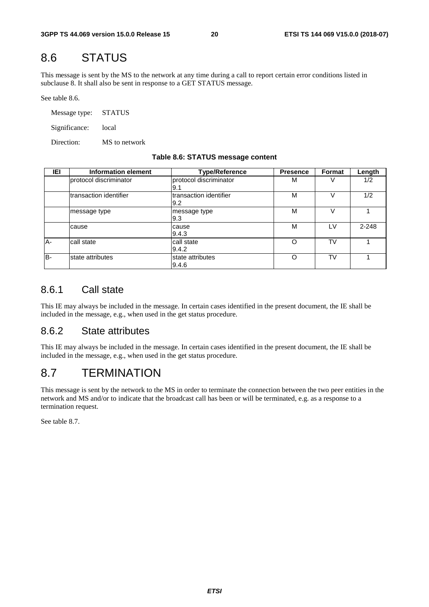### 8.6 STATUS

This message is sent by the MS to the network at any time during a call to report certain error conditions listed in subclause 8. It shall also be sent in response to a GET STATUS message.

See table 8.6.

Message type: STATUS Significance: local Direction: MS to network

#### **Table 8.6: STATUS message content**

| IEI | Information element    | <b>Type/Reference</b>          | <b>Presence</b> | Format    | Length    |
|-----|------------------------|--------------------------------|-----------------|-----------|-----------|
|     | protocol discriminator | protocol discriminator<br>I9.1 | M               |           | 1/2       |
|     | transaction identifier | Itransaction identifier<br>9.2 | M               |           | 1/2       |
|     | message type           | message type<br>9.3            | M               |           |           |
|     | cause                  | cause<br>9.4.3                 | M               | 1 V       | $2 - 248$ |
| A-  | call state             | call state<br>9.4.2            | Ω               | TV        |           |
| B-  | state attributes       | state attributes<br>9.4.6      | Ω               | <b>TV</b> |           |

### 8.6.1 Call state

This IE may always be included in the message. In certain cases identified in the present document, the IE shall be included in the message, e.g., when used in the get status procedure.

### 8.6.2 State attributes

This IE may always be included in the message. In certain cases identified in the present document, the IE shall be included in the message, e.g., when used in the get status procedure.

### 8.7 TERMINATION

This message is sent by the network to the MS in order to terminate the connection between the two peer entities in the network and MS and/or to indicate that the broadcast call has been or will be terminated, e.g. as a response to a termination request.

See table 8.7.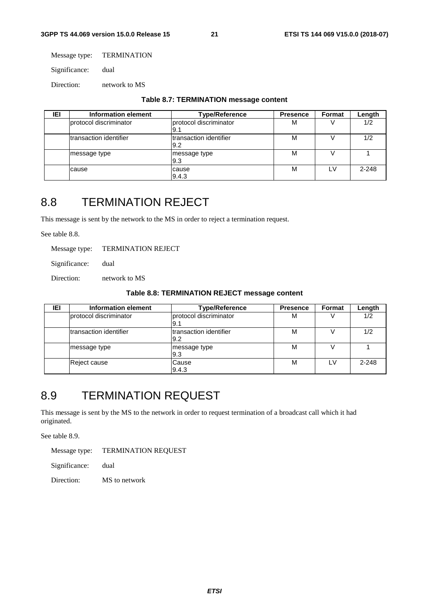Message type: TERMINATION

Significance: dual

Direction: network to MS

|  | Table 8.7: TERMINATION message content |  |  |
|--|----------------------------------------|--|--|
|--|----------------------------------------|--|--|

| IEI | Information element     | <b>Type/Reference</b>          |   |     |           |
|-----|-------------------------|--------------------------------|---|-----|-----------|
|     | Iprotocol discriminator | protocol discriminator<br>I9.1 | M |     | 1/2       |
|     | Itransaction identifier | Itransaction identifier<br>9.2 | м |     | 1/2       |
|     | message type            | message type<br>9.3            | M |     |           |
|     | cause                   | cause<br>9.4.3                 | M | I V | $2 - 248$ |

### 8.8 TERMINATION REJECT

This message is sent by the network to the MS in order to reject a termination request.

See table 8.8.

Message type: TERMINATION REJECT

Significance: dual

Direction: network to MS

#### **Table 8.8: TERMINATION REJECT message content**

| IEI | Information element            | <b>Type/Reference</b>          |   |  |         |
|-----|--------------------------------|--------------------------------|---|--|---------|
|     | protocol discriminator         | protocol discriminator<br>l9.1 | м |  | 1/2     |
|     | <b>Itransaction identifier</b> | Itransaction identifier<br>9.2 | м |  | 1/2     |
|     | message type                   | message type<br>9.3            | M |  |         |
|     | <b>Reject cause</b>            | Cause<br>9.4.3                 | M |  | $2-248$ |

### 8.9 TERMINATION REQUEST

This message is sent by the MS to the network in order to request termination of a broadcast call which it had originated.

See table 8.9.

Message type: TERMINATION REQUEST

Significance: dual

Direction: MS to network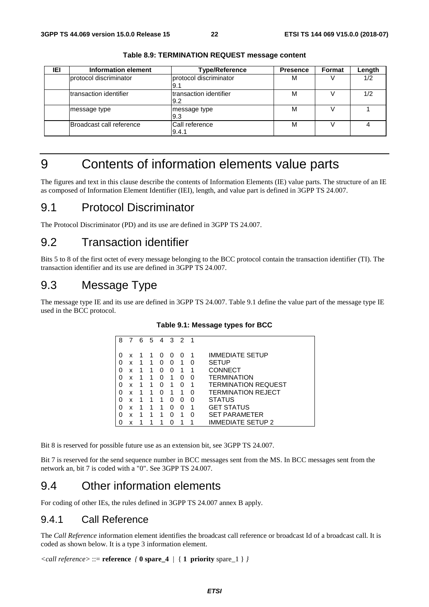| IEI | Information element      | <b>Type/Reference</b>          |   |  |     |
|-----|--------------------------|--------------------------------|---|--|-----|
|     | Iprotocol discriminator  | protocol discriminator<br>l9.1 | м |  | 1/2 |
|     | Itransaction identifier  | Itransaction identifier<br>9.2 | M |  | 1/2 |
|     | message type             | message type<br>9.3            | M |  |     |
|     | Broadcast call reference | Call reference<br>9.4.1        | M |  |     |

**Table 8.9: TERMINATION REQUEST message content** 

## 9 Contents of information elements value parts

The figures and text in this clause describe the contents of Information Elements (IE) value parts. The structure of an IE as composed of Information Element Identifier (IEI), length, and value part is defined in 3GPP TS 24.007.

### 9.1 Protocol Discriminator

The Protocol Discriminator (PD) and its use are defined in 3GPP TS 24.007.

### 9.2 Transaction identifier

Bits 5 to 8 of the first octet of every message belonging to the BCC protocol contain the transaction identifier (TI). The transaction identifier and its use are defined in 3GPP TS 24.007.

### 9.3 Message Type

The message type IE and its use are defined in 3GPP TS 24.007. Table 9.1 define the value part of the message type IE used in the BCC protocol.

| 8 |   | 6 | 5 | 4        | 3 | $\overline{2}$ | 1 |                            |
|---|---|---|---|----------|---|----------------|---|----------------------------|
|   | x |   |   |          |   |                |   | <b>IMMEDIATE SETUP</b>     |
|   | x |   |   | $\Omega$ | 0 |                | 0 | SETUP                      |
| 0 | X | 1 |   | Ω        | 0 |                |   | CONNECT                    |
| 0 | x | 1 | 1 | Ω        | 1 | O              | O | <b>TERMINATION</b>         |
| 0 | x | 1 | 1 | O        | 1 | O              | 1 | <b>TERMINATION REQUEST</b> |
| 0 | x | 1 | 1 | O        | 1 | 1              | O | <b>TERMINATION REJECT</b>  |
| 0 | X |   |   | 1        | O | O              | U | STATUS                     |
|   | x | 1 |   | 1        | O | O              | 1 | <b>GET STATUS</b>          |
| 0 | x | 1 |   | 1        | ŋ |                | O | <b>SET PARAMETER</b>       |
|   | X | 1 |   |          |   |                |   | <b>IMMEDIATE SETUP 2</b>   |

**Table 9.1: Message types for BCC** 

Bit 8 is reserved for possible future use as an extension bit, see 3GPP TS 24.007.

Bit 7 is reserved for the send sequence number in BCC messages sent from the MS. In BCC messages sent from the network an, bit 7 is coded with a "0". See 3GPP TS 24.007.

### 9.4 Other information elements

For coding of other IEs, the rules defined in 3GPP TS 24.007 annex B apply.

### 9.4.1 Call Reference

The *Call Reference* information element identifies the broadcast call reference or broadcast Id of a broadcast call. It is coded as shown below. It is a type 3 information element.

```
<call reference> ::= reference { 0 spare_4 | { 1 priority spare_1 } }
```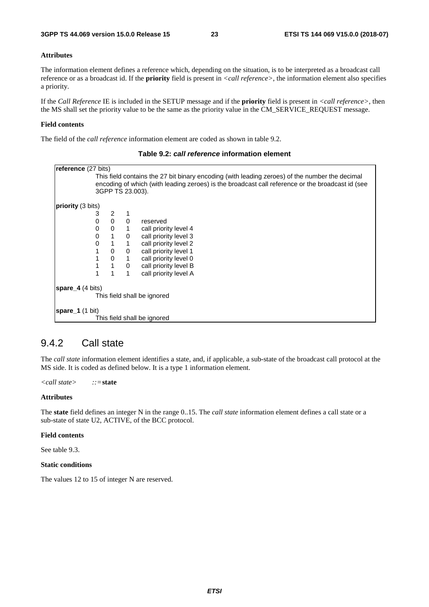#### **Attributes**

The information element defines a reference which, depending on the situation, is to be interpreted as a broadcast call reference or as a broadcast id. If the **priority** field is present in *<call reference>*, the information element also specifies a priority.

If the *Call Reference* IE is included in the SETUP message and if the **priority** field is present in *<call reference>*, then the MS shall set the priority value to be the same as the priority value in the CM\_SERVICE\_REQUEST message.

#### **Field contents**

The field of the *call reference* information element are coded as shown in table 9.2.

| <b>reference</b> (27 bits)           |                                                                                                  |                |              |                                                                                                |  |  |  |  |
|--------------------------------------|--------------------------------------------------------------------------------------------------|----------------|--------------|------------------------------------------------------------------------------------------------|--|--|--|--|
|                                      |                                                                                                  |                |              | This field contains the 27 bit binary encoding (with leading zeroes) of the number the decimal |  |  |  |  |
|                                      | encoding of which (with leading zeroes) is the broadcast call reference or the broadcast id (see |                |              |                                                                                                |  |  |  |  |
|                                      | 3GPP TS 23.003).                                                                                 |                |              |                                                                                                |  |  |  |  |
|                                      |                                                                                                  |                |              |                                                                                                |  |  |  |  |
| <b>priority</b> (3 bits)             |                                                                                                  |                |              |                                                                                                |  |  |  |  |
|                                      | 3                                                                                                | 2              |              |                                                                                                |  |  |  |  |
|                                      | $\Omega$                                                                                         | $\mathbf 0$    | 0            | reserved                                                                                       |  |  |  |  |
|                                      |                                                                                                  |                |              |                                                                                                |  |  |  |  |
|                                      | 0                                                                                                | $\mathbf 0$    | $\mathbf{1}$ | call priority level 4                                                                          |  |  |  |  |
|                                      | 0                                                                                                | $\mathbf{1}$   | $\mathbf 0$  | call priority level 3                                                                          |  |  |  |  |
|                                      | 0                                                                                                | $\mathbf{1}$   | $\mathbf{1}$ | call priority level 2                                                                          |  |  |  |  |
|                                      |                                                                                                  | 0              | 0            | call priority level 1                                                                          |  |  |  |  |
|                                      |                                                                                                  | 0              | $\mathbf{1}$ | call priority level 0                                                                          |  |  |  |  |
|                                      |                                                                                                  | $\overline{1}$ | 0            | call priority level B                                                                          |  |  |  |  |
|                                      |                                                                                                  |                |              | call priority level A                                                                          |  |  |  |  |
| <b>spare</b> $\overline{4}$ (4 bits) |                                                                                                  |                |              |                                                                                                |  |  |  |  |
|                                      |                                                                                                  |                |              | This field shall be ignored                                                                    |  |  |  |  |
| <b>spare_1</b> (1 bit)               |                                                                                                  |                |              |                                                                                                |  |  |  |  |
|                                      |                                                                                                  |                |              | This field shall be ignored                                                                    |  |  |  |  |
|                                      |                                                                                                  |                |              |                                                                                                |  |  |  |  |

#### **Table 9.2:** *call reference* **information element**

#### 9.4.2 Call state

The *call state* information element identifies a state, and, if applicable, a sub-state of the broadcast call protocol at the MS side. It is coded as defined below. It is a type 1 information element.

*<call state> ::=***state**

#### **Attributes**

The **state** field defines an integer N in the range 0..15. The *call state* information element defines a call state or a sub-state of state U2, ACTIVE, of the BCC protocol.

#### **Field contents**

See table 9.3.

#### **Static conditions**

The values 12 to 15 of integer N are reserved.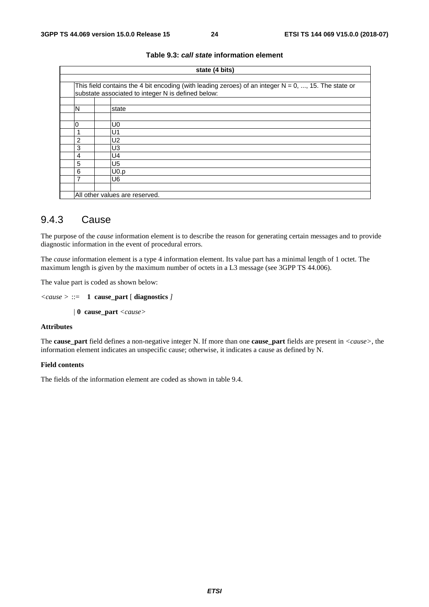|   | state (4 bits)                                                                                                                                                |  |  |  |  |  |
|---|---------------------------------------------------------------------------------------------------------------------------------------------------------------|--|--|--|--|--|
|   |                                                                                                                                                               |  |  |  |  |  |
|   | This field contains the 4 bit encoding (with leading zeroes) of an integer $N = 0$ , , 15. The state or<br>substate associated to integer N is defined below: |  |  |  |  |  |
|   |                                                                                                                                                               |  |  |  |  |  |
| N | state                                                                                                                                                         |  |  |  |  |  |
|   |                                                                                                                                                               |  |  |  |  |  |
| 0 | U0                                                                                                                                                            |  |  |  |  |  |
| 1 | U1                                                                                                                                                            |  |  |  |  |  |
| 2 | U2                                                                                                                                                            |  |  |  |  |  |
| 3 | U3                                                                                                                                                            |  |  |  |  |  |
| 4 | U4                                                                                                                                                            |  |  |  |  |  |
| 5 | U5                                                                                                                                                            |  |  |  |  |  |
| 6 | U0.p                                                                                                                                                          |  |  |  |  |  |
| 7 | U6                                                                                                                                                            |  |  |  |  |  |
|   |                                                                                                                                                               |  |  |  |  |  |
|   | All other values are reserved.                                                                                                                                |  |  |  |  |  |

#### **Table 9.3:** *call state* **information element**

### 9.4.3 Cause

The purpose of the *cause* information element is to describe the reason for generating certain messages and to provide diagnostic information in the event of procedural errors.

The *cause* information element is a type 4 information element. Its value part has a minimal length of 1 octet. The maximum length is given by the maximum number of octets in a L3 message (see 3GPP TS 44.006).

The value part is coded as shown below:

```
<cause > ::= 1 cause_part [ diagnostics ]
```
*|* **0 cause\_part** *<cause>* 

#### **Attributes**

The **cause\_part** field defines a non-negative integer N. If more than one **cause\_part** fields are present in *<cause>*, the information element indicates an unspecific cause; otherwise, it indicates a cause as defined by N.

#### **Field contents**

The fields of the information element are coded as shown in table 9.4.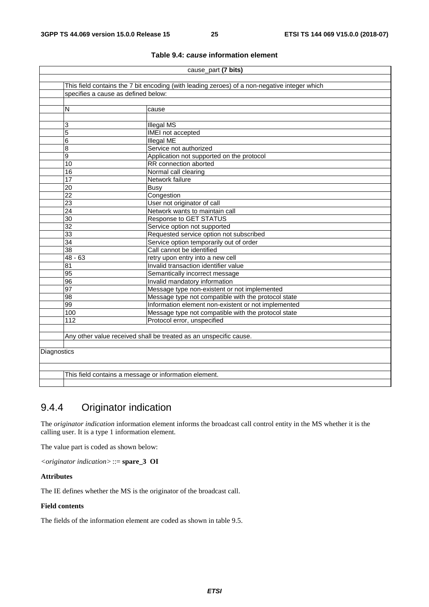|             | cause_part (7 bits)                                                                          |                                                                   |  |  |  |  |
|-------------|----------------------------------------------------------------------------------------------|-------------------------------------------------------------------|--|--|--|--|
|             |                                                                                              |                                                                   |  |  |  |  |
|             | This field contains the 7 bit encoding (with leading zeroes) of a non-negative integer which |                                                                   |  |  |  |  |
|             | specifies a cause as defined below:                                                          |                                                                   |  |  |  |  |
|             |                                                                                              |                                                                   |  |  |  |  |
|             | N                                                                                            | cause                                                             |  |  |  |  |
|             |                                                                                              |                                                                   |  |  |  |  |
|             | 3                                                                                            | <b>Illegal MS</b>                                                 |  |  |  |  |
|             | 5                                                                                            | IMEI not accepted                                                 |  |  |  |  |
|             | 6                                                                                            | <b>Illegal ME</b>                                                 |  |  |  |  |
|             | 8                                                                                            | Service not authorized                                            |  |  |  |  |
|             | 9                                                                                            | Application not supported on the protocol                         |  |  |  |  |
|             | 10                                                                                           | RR connection aborted                                             |  |  |  |  |
|             | 16                                                                                           | Normal call clearing                                              |  |  |  |  |
|             | 17                                                                                           | Network failure                                                   |  |  |  |  |
|             | 20                                                                                           | <b>Busy</b>                                                       |  |  |  |  |
|             | $\overline{22}$                                                                              | Congestion                                                        |  |  |  |  |
|             | $\overline{23}$                                                                              | User not originator of call                                       |  |  |  |  |
|             | 24                                                                                           | Network wants to maintain call                                    |  |  |  |  |
|             | $\overline{30}$                                                                              | <b>Response to GET STATUS</b>                                     |  |  |  |  |
|             | $\overline{32}$                                                                              | Service option not supported                                      |  |  |  |  |
|             | 33                                                                                           | Requested service option not subscribed                           |  |  |  |  |
|             | $\overline{34}$                                                                              | Service option temporarily out of order                           |  |  |  |  |
|             | $\overline{38}$                                                                              | Call cannot be identified                                         |  |  |  |  |
|             | $48 - 63$                                                                                    | retry upon entry into a new cell                                  |  |  |  |  |
|             | 81                                                                                           | Invalid transaction identifier value                              |  |  |  |  |
|             | 95                                                                                           | Semantically incorrect message                                    |  |  |  |  |
|             | 96                                                                                           | Invalid mandatory information                                     |  |  |  |  |
|             | 97                                                                                           | Message type non-existent or not implemented                      |  |  |  |  |
|             | 98                                                                                           | Message type not compatible with the protocol state               |  |  |  |  |
|             | 99                                                                                           | Information element non-existent or not implemented               |  |  |  |  |
|             | 100                                                                                          | Message type not compatible with the protocol state               |  |  |  |  |
|             | 112                                                                                          | Protocol error, unspecified                                       |  |  |  |  |
|             |                                                                                              |                                                                   |  |  |  |  |
|             |                                                                                              | Any other value received shall be treated as an unspecific cause. |  |  |  |  |
|             |                                                                                              |                                                                   |  |  |  |  |
| Diagnostics |                                                                                              |                                                                   |  |  |  |  |
|             |                                                                                              |                                                                   |  |  |  |  |
|             |                                                                                              |                                                                   |  |  |  |  |
|             | This field contains a message or information element.                                        |                                                                   |  |  |  |  |
|             |                                                                                              |                                                                   |  |  |  |  |

#### **Table 9.4:** *cause* **information element**

### 9.4.4 Originator indication

The *originator indication* information element informs the broadcast call control entity in the MS whether it is the calling user. It is a type 1 information element.

The value part is coded as shown below:

*<originator indication>* ::= **spare\_3 OI**

#### **Attributes**

The IE defines whether the MS is the originator of the broadcast call.

#### **Field contents**

The fields of the information element are coded as shown in table 9.5.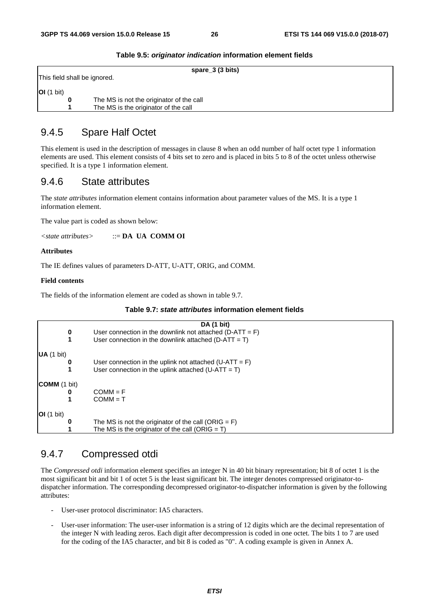|                              | spare_3 (3 bits)                         |
|------------------------------|------------------------------------------|
| This field shall be ignored. |                                          |
| $\vert$ OI (1 bit)           |                                          |
|                              | The MS is not the originator of the call |
|                              | The MS is the originator of the call     |

#### **Table 9.5:** *originator indication* **information element fields**

### 9.4.5 Spare Half Octet

This element is used in the description of messages in clause 8 when an odd number of half octet type 1 information elements are used. This element consists of 4 bits set to zero and is placed in bits 5 to 8 of the octet unless otherwise specified. It is a type 1 information element.

### 9.4.6 State attributes

The *state attributes* information element contains information about parameter values of the MS. It is a type 1 information element.

The value part is coded as shown below:

*<state attributes>* ::= **DA UA COMM OI**

#### **Attributes**

The IE defines values of parameters D-ATT, U-ATT, ORIG, and COMM.

#### **Field contents**

The fields of the information element are coded as shown in table 9.7.

|  | Table 9.7: state attributes information element fields |  |  |
|--|--------------------------------------------------------|--|--|
|--|--------------------------------------------------------|--|--|

|                       |   | DA (1 bit)                                                 |
|-----------------------|---|------------------------------------------------------------|
|                       | 0 | User connection in the downlink not attached $(D-ATT = F)$ |
|                       |   | User connection in the downlink attached ( $D-ATT = T$ )   |
| $\mathsf{UA}$ (1 bit) |   |                                                            |
|                       | 0 | User connection in the uplink not attached $(U-ATT = F)$   |
|                       |   | User connection in the uplink attached $(U-ATT = T)$       |
| <b>COMM</b> (1 bit)   |   |                                                            |
|                       | 0 | $COMM = F$                                                 |
|                       |   | $COMM = T$                                                 |
| <b>OI</b> (1 bit)     |   |                                                            |
|                       | 0 | The MS is not the originator of the call (ORIG = $F$ )     |
|                       |   | The MS is the originator of the call (ORIG = $T$ )         |

### 9.4.7 Compressed otdi

The *Compressed otdi* information element specifies an integer N in 40 bit binary representation; bit 8 of octet 1 is the most significant bit and bit 1 of octet 5 is the least significant bit. The integer denotes compressed originator-todispatcher information. The corresponding decompressed originator-to-dispatcher information is given by the following attributes:

- User-user protocol discriminator: IA5 characters.
- User-user information: The user-user information is a string of 12 digits which are the decimal representation of the integer N with leading zeros. Each digit after decompression is coded in one octet. The bits 1 to 7 are used for the coding of the IA5 character, and bit 8 is coded as "0". A coding example is given in Annex A.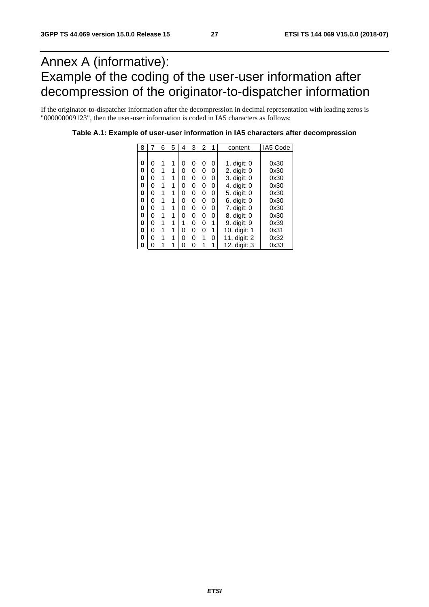## Annex A (informative): Example of the coding of the user-user information after decompression of the originator-to-dispatcher information

If the originator-to-dispatcher information after the decompression in decimal representation with leading zeros is "000000009123", then the user-user information is coded in IA5 characters as follows:

| 8 |   | 6 | 5 | 4 | 3  | 2 | 1 | content       | IA5 Code |
|---|---|---|---|---|----|---|---|---------------|----------|
|   |   |   |   |   |    |   |   |               |          |
| 0 | 0 |   |   | 0 | O) | 0 | 0 | 1. $digit: 0$ | 0x30     |
| 0 | 0 | 1 | 1 | 0 | U  | 0 | 0 | 2. digit: 0   | 0x30     |
| 0 | 0 | 1 | 1 | 0 | 0  | 0 | 0 | 3. digit: 0   | 0x30     |
| 0 | 0 | 1 | 1 | 0 | U  | 0 | 0 | 4. digit: 0   | 0x30     |
| 0 | 0 | 1 | 1 | 0 | 0  | 0 | 0 | 5. digit: 0   | 0x30     |
| 0 | 0 | 1 | 1 | 0 | 0  | 0 | 0 | 6. digit: 0   | 0x30     |
| 0 | ი | 1 | 1 | O | O  | 0 | 0 | 7. digit: 0   | 0x30     |
| 0 | 0 | 1 | 1 | ი | O  | 0 | 0 | 8. digit: 0   | 0x30     |
| 0 | 0 | 1 | 1 | 1 | U  | 0 | 1 | 9. digit: 9   | 0x39     |
| 0 | 0 | 1 | 1 | 0 | 0  | 0 | 1 | 10. digit: 1  | 0x31     |
| 0 | U | 1 | 1 | 0 | U  | 1 | 0 | 11. digit: 2  | 0x32     |
| 0 | ი |   |   | ი |    | 1 | 1 | 12. digit: 3  | 0x33     |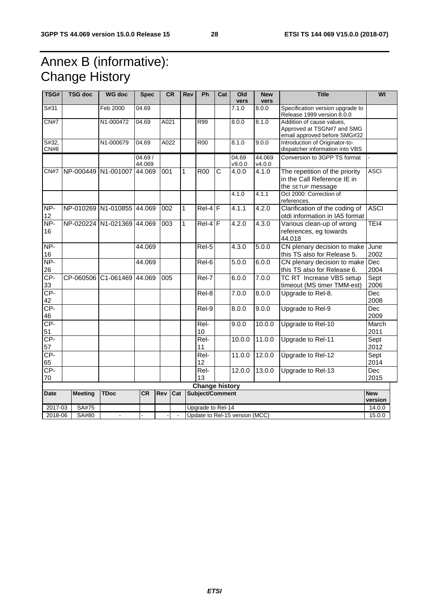## Annex B (informative): Change History

| TSG#          | <b>TSG doc</b>                                                  | <b>WG doc</b>              | <b>Spec</b>       |      | CR              | Rev               | Ph                     | Cat                   | Old<br>vers     | <b>New</b><br>vers | <b>Title</b>                                                                            | WI                 |
|---------------|-----------------------------------------------------------------|----------------------------|-------------------|------|-----------------|-------------------|------------------------|-----------------------|-----------------|--------------------|-----------------------------------------------------------------------------------------|--------------------|
| S#31          |                                                                 | Feb 2000                   | 04.69             |      |                 |                   |                        |                       | 7.1.0           | 8.0.0              | Specification version upgrade to<br>Release 1999 version 8.0.0                          |                    |
| CN#7          |                                                                 | N1-000472                  | 04.69             | A021 |                 |                   | R99                    |                       | 8.0.0           | 8.1.0              | Addition of cause values,<br>Approved at TSGN#7 and SMG<br>email approved before SMG#32 |                    |
| S#32,<br>CN#8 |                                                                 | N1-000679                  | 04.69             | A022 |                 |                   | <b>R00</b>             |                       | 8.1.0           | 9.0.0              | Introduction of Originator-to-<br>dispatcher information into VBS                       |                    |
|               |                                                                 |                            | 04.69 /<br>44.069 |      |                 |                   |                        |                       | 04.69<br>v9.0.0 | 44.069<br>v4.0.0   | Conversion to 3GPP TS format                                                            |                    |
| CN#7          | NP-000449 N1-001007                                             |                            | 44.069            | 001  | $\mathbf{1}$    |                   | <b>R00</b>             | $\overline{\text{c}}$ | 4.0.0           | 4.1.0              | The repetition of the priority<br>in the Call Reference IE in<br>the SETUP message      | <b>ASCI</b>        |
|               |                                                                 |                            |                   |      |                 |                   |                        |                       | 4.1.0           | 4.1.1              | Oct 2000: Correction of<br>references.                                                  |                    |
| NP-<br>12     |                                                                 | NP-010269 N1-010855 44.069 |                   | 002  | $\mathbf{1}$    |                   | $Rel-4$ F              |                       | 4.1.1           | 4.2.0              | Clarification of the coding of<br>otdi information in IA5 format                        | <b>ASCI</b>        |
| NP-<br>16     |                                                                 | NP-020224 N1-021369 44.069 |                   | 003  | 1               |                   | $Rel-4$ F              |                       | 4.2.0           | 4.3.0              | Various clean-up of wrong<br>references, eg towards<br>44.018                           | TEI4               |
| $NP-$<br>16   |                                                                 |                            | 44.069            |      |                 |                   | Rel-5                  |                       | 4.3.0           | 5.0.0              | CN plenary decision to make<br>this TS also for Release 5.                              | June<br>2002       |
| NP-<br>26     |                                                                 |                            | 44.069            |      |                 |                   | Rel-6                  |                       | 5.0.0           | 6.0.0              | CN plenary decision to make<br>this TS also for Release 6.                              | Dec<br>2004        |
| CP-<br>33     | CP-060506                                                       | C1-061469                  | 44.069            | 005  |                 |                   | Rel-7                  |                       | 6.0.0           | 7.0.0              | TC RT Increase VBS setup<br>timeout (MS timer TMM-est)                                  | Sept<br>2006       |
| CP-<br>42     |                                                                 |                            |                   |      |                 |                   | Rel-8                  |                       | 7.0.0           | 8.0.0              | Upgrade to Rel-8.                                                                       | <b>Dec</b><br>2008 |
| CP-<br>46     |                                                                 |                            |                   |      |                 |                   | Rel-9                  |                       | 8.0.0           | 9.0.0              | Upgrade to Rel-9                                                                        | <b>Dec</b><br>2009 |
| $CP-$<br>51   |                                                                 |                            |                   |      |                 |                   | Rel-<br>10             |                       | 9.0.0           | 10.0.0             | Upgrade to Rel-10                                                                       | March<br>2011      |
| CP-<br>57     |                                                                 |                            |                   |      |                 |                   | $\overline{ReF}$<br>11 |                       | 10.0.0          | 11.0.0             | Upgrade to Rel-11                                                                       | Sept<br>2012       |
| CP-<br>65     |                                                                 |                            |                   |      |                 |                   | $ReI-$<br>12           |                       | 11.0.0          | 12.0.0             | Úpgrade to Rel-12                                                                       | Sept<br>2014       |
| $CP-$<br>70   |                                                                 |                            |                   |      |                 |                   | $ReI-$<br>13           |                       | 12.0.0          | 13.0.0             | Upgrade to Rel-13                                                                       | Dec<br>2015        |
|               | <b>Change history</b>                                           |                            |                   |      |                 |                   |                        |                       |                 |                    |                                                                                         |                    |
| <b>Date</b>   | <b>TDoc</b><br><b>CR</b><br><b>Rev</b><br>Cat<br><b>Meeting</b> |                            |                   |      | Subject/Comment |                   |                        |                       |                 |                    | <b>New</b>                                                                              |                    |
|               |                                                                 |                            |                   |      |                 |                   |                        |                       |                 | version            |                                                                                         |                    |
| 2017-03       | SA#75                                                           |                            |                   |      |                 | Upgrade to Rel-14 |                        |                       |                 | 14.0.0             |                                                                                         |                    |
|               | Update to Rel-15 version (MCC)<br>2018-06<br>SA#80<br>$\sim$    |                            |                   |      |                 |                   | 15.0.0                 |                       |                 |                    |                                                                                         |                    |